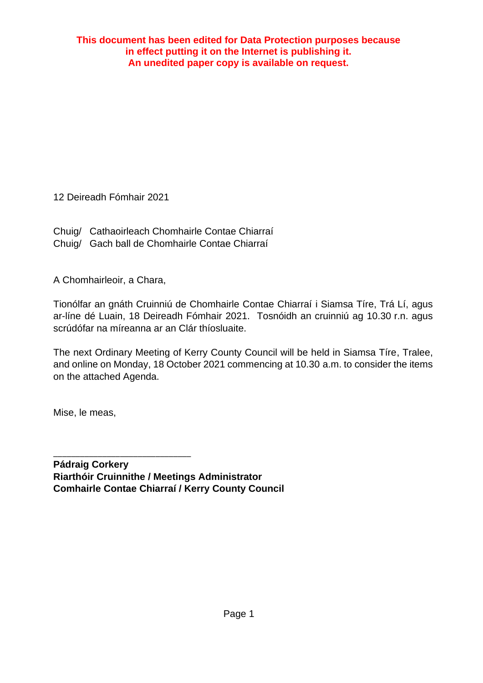12 Deireadh Fómhair 2021

Chuig/ Cathaoirleach Chomhairle Contae Chiarraí Chuig/ Gach ball de Chomhairle Contae Chiarraí

A Chomhairleoir, a Chara,

Tionólfar an gnáth Cruinniú de Chomhairle Contae Chiarraí i Siamsa Tíre, Trá Lí, agus ar-líne dé Luain, 18 Deireadh Fómhair 2021. Tosnóidh an cruinniú ag 10.30 r.n. agus scrúdófar na míreanna ar an Clár thíosluaite.

The next Ordinary Meeting of Kerry County Council will be held in Siamsa Tíre, Tralee, and online on Monday, 18 October 2021 commencing at 10.30 a.m. to consider the items on the attached Agenda.

Mise, le meas,

\_\_\_\_\_\_\_\_\_\_\_\_\_\_\_\_\_\_\_\_\_\_\_\_\_\_\_\_\_\_\_

**Pádraig Corkery Riarthóir Cruinnithe / Meetings Administrator Comhairle Contae Chiarraí / Kerry County Council**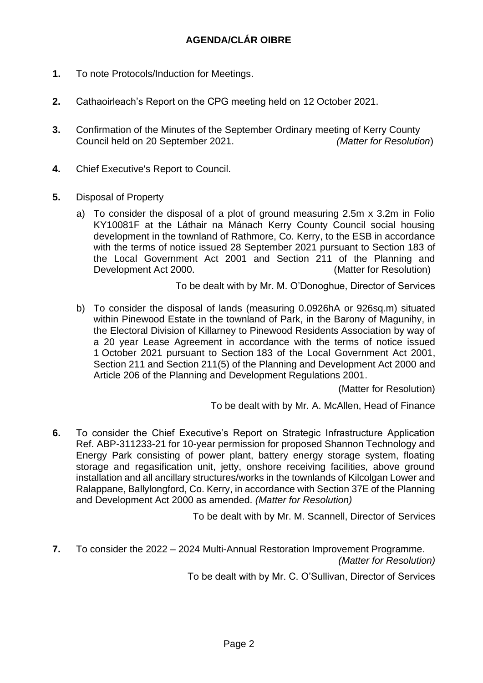- **1.** To note Protocols/Induction for Meetings.
- **2.** Cathaoirleach's Report on the CPG meeting held on 12 October 2021.
- **3.** Confirmation of the Minutes of the September Ordinary meeting of Kerry County Council held on 20 September 2021. *(Matter for Resolution*)
- **4.** Chief Executive's Report to Council.
- **5.** Disposal of Property
	- a) To consider the disposal of a plot of ground measuring 2.5m x 3.2m in Folio KY10081F at the Láthair na Mánach Kerry County Council social housing development in the townland of Rathmore, Co. Kerry, to the ESB in accordance with the terms of notice issued 28 September 2021 pursuant to Section 183 of the Local Government Act 2001 and Section 211 of the Planning and Development Act 2000. (Matter for Resolution)

To be dealt with by Mr. M. O'Donoghue, Director of Services

b) To consider the disposal of lands (measuring 0.0926hA or 926sq.m) situated within Pinewood Estate in the townland of Park, in the Barony of Magunihy, in the Electoral Division of Killarney to Pinewood Residents Association by way of a 20 year Lease Agreement in accordance with the terms of notice issued 1 October 2021 pursuant to Section 183 of the Local Government Act 2001, Section 211 and Section 211(5) of the Planning and Development Act 2000 and Article 206 of the Planning and Development Regulations 2001.

(Matter for Resolution)

To be dealt with by Mr. A. McAllen, Head of Finance

**6.** To consider the Chief Executive's Report on Strategic Infrastructure Application Ref. ABP-311233-21 for 10-year permission for proposed Shannon Technology and Energy Park consisting of power plant, battery energy storage system, floating storage and regasification unit, jetty, onshore receiving facilities, above ground installation and all ancillary structures/works in the townlands of Kilcolgan Lower and Ralappane, Ballylongford, Co. Kerry, in accordance with Section 37E of the Planning and Development Act 2000 as amended. *(Matter for Resolution)*

To be dealt with by Mr. M. Scannell, Director of Services

**7.** To consider the 2022 – 2024 Multi-Annual Restoration Improvement Programme. *(Matter for Resolution)*

To be dealt with by Mr. C. O'Sullivan, Director of Services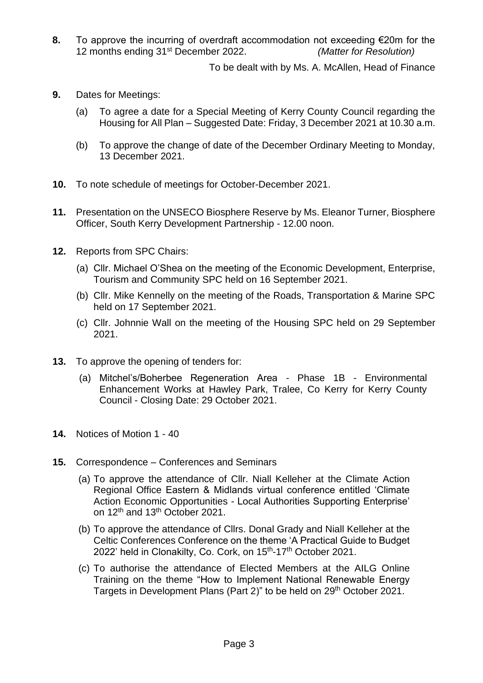**8.** To approve the incurring of overdraft accommodation not exceeding €20m for the 12 months ending 31st December 2022. *(Matter for Resolution)*

To be dealt with by Ms. A. McAllen, Head of Finance

- **9.** Dates for Meetings:
	- (a) To agree a date for a Special Meeting of Kerry County Council regarding the Housing for All Plan – Suggested Date: Friday, 3 December 2021 at 10.30 a.m.
	- (b) To approve the change of date of the December Ordinary Meeting to Monday, 13 December 2021.
- **10.** To note schedule of meetings for October-December 2021.
- **11.** Presentation on the UNSECO Biosphere Reserve by Ms. Eleanor Turner, Biosphere Officer, South Kerry Development Partnership - 12.00 noon.
- **12.** Reports from SPC Chairs:
	- (a) Cllr. Michael O'Shea on the meeting of the Economic Development, Enterprise, Tourism and Community SPC held on 16 September 2021.
	- (b) Cllr. Mike Kennelly on the meeting of the Roads, Transportation & Marine SPC held on 17 September 2021.
	- (c) Cllr. Johnnie Wall on the meeting of the Housing SPC held on 29 September 2021.
- **13.** To approve the opening of tenders for:
	- (a) Mitchel's/Boherbee Regeneration Area Phase 1B Environmental Enhancement Works at Hawley Park, Tralee, Co Kerry for Kerry County Council - Closing Date: 29 October 2021.
- **14.** Notices of Motion 1 40
- **15.** Correspondence Conferences and Seminars
	- (a) To approve the attendance of Cllr. Niall Kelleher at the Climate Action Regional Office Eastern & Midlands virtual conference entitled 'Climate Action Economic Opportunities - Local Authorities Supporting Enterprise' on 12<sup>th</sup> and 13<sup>th</sup> October 2021.
	- (b) To approve the attendance of Cllrs. Donal Grady and Niall Kelleher at the Celtic Conferences Conference on the theme 'A Practical Guide to Budget 2022' held in Clonakilty, Co. Cork, on 15<sup>th</sup>-17<sup>th</sup> October 2021.
	- (c) To authorise the attendance of Elected Members at the AILG Online Training on the theme "How to Implement National Renewable Energy Targets in Development Plans (Part 2)" to be held on 29th October 2021.